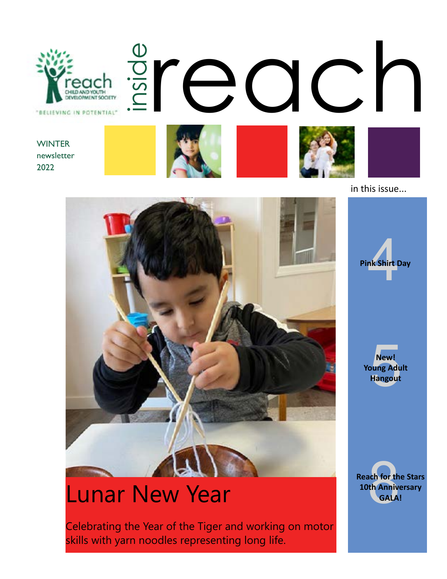

in this issue...

nk Shirt D

**Pink Shirt Day**



# Lunar New Year

Celebrating the Year of the Tiger and working on motor skills with yarn noodles representing long life.

New!<br>Dung Adu<br>Hangout **New! Young Adult Hangout**

ach for th<br>th Annive<br>GALA **Reach for the Stars 10th Anniversary GALA!**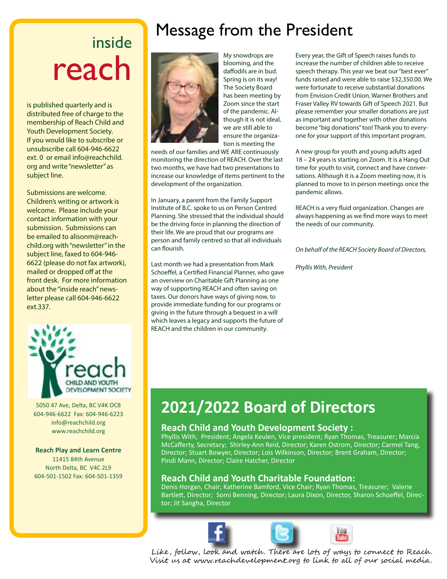# inside reach

is published quarterly and is distributed free of charge to the membership of Reach Child and Youth Development Society. If you would like to subscribe or unsubscribe call 604-946-6622 ext. 0 or email info@reachchild. org and write "newsletter" as subject line.

Submissions are welcome. Children's writing or artwork is welcome. Please include your contact information with your submission. Submissions can be emailed to alisonm@reachchild.org with "newsletter" in the subject line, faxed to 604-946- 6622 (please do not fax artwork), mailed or dropped off at the front desk. For more information about the "inside reach" newsletter please call 604-946-6622 ext.337.



5050 47 Ave, Delta, BC V4K OC8 604-946-6622 Fax: 604-946-6223 info@reachchild.org www.reachchild.org

#### **Reach Play and Learn Centre**

11415 84th Avenue North Delta, BC V4C 2L9 604-501-1502 Fax: 604-501-1359

# Message from the President



My snowdrops are blooming, and the daffodils are in bud. Spring is on its way! The Society Board has been meeting by Zoom since the start of the pandemic. Although it is not ideal, we are still able to ensure the organization is meeting the

needs of our families and WE ARE continuously monitoring the direction of REACH. Over the last two months, we have had two presentations to increase our knowledge of items pertinent to the development of the organization.

In January, a parent from the Family Support Institute of B.C. spoke to us on Person Centred Planning. She stressed that the individual should be the driving force in planning the direction of their life. We are proud that our programs are person and family centred so that all individuals can flourish.

Last month we had a presentation from Mark Schoeffel, a Certified Financial Planner, who gave an overview on Charitable Gift Planning as one way of supporting REACH and often saving on taxes. Our donors have ways of giving now, to provide immediate funding for our programs or giving in the future through a bequest in a will which leaves a legacy and supports the future of REACH and the children in our community.

Every year, the Gift of Speech raises funds to increase the number of children able to receive speech therapy. This year we beat our "best ever" funds raised and were able to raise \$32,350.00. We were fortunate to receive substantial donations from Envision Credit Union, Warner Brothers and Fraser Valley RV towards Gift of Speech 2021. But please remember your smaller donations are just as important and together with other donations become "big donations" too! Thank you to everyone for your support of this important program.

A new group for youth and young adults aged 18 – 24 years is starting on Zoom. It is a Hang Out time for youth to visit, connect and have conversations. Although it is a Zoom meeting now, it is planned to move to in person meetings once the pandemic allows.

REACH is a very fluid organization. Changes are always happening as we find more ways to meet the needs of our community.

*On behalf of the REACH Society Board of Directors,*

*Phyllis With, President*

# **2021/2022 Board of Directors**

#### **Reach Child and Youth Development Society :**

Phyllis With, President; Angela Keulen, Vice president; Ryan Thomas, Treasurer; Marcia McCafferty, Secretary; Shirley-Ann Reid, Director; Karen Ostrom, Director; Carmel Tang, Director; Stuart Bowyer, Director; Lois Wilkinson, Director; Brent Graham, Director; Pindi Mann, Director; Claire Hatcher, Director

#### **Reach Child and Youth Charitable Foundation:**

Denis Horgan, Chair; Katherine Bamford, Vice Chair; Ryan Thomas, Treasurer; Valerie Bartlett, Director; Somi Benning, Director; Laura Dixon, Director, Sharon Schoeffel, Director; Jit Sangha, Director







Like , follow, look and watch . There are lots of ways to connect to Reach . Visit us at www.reachdevelopment.org to link to all of our social media.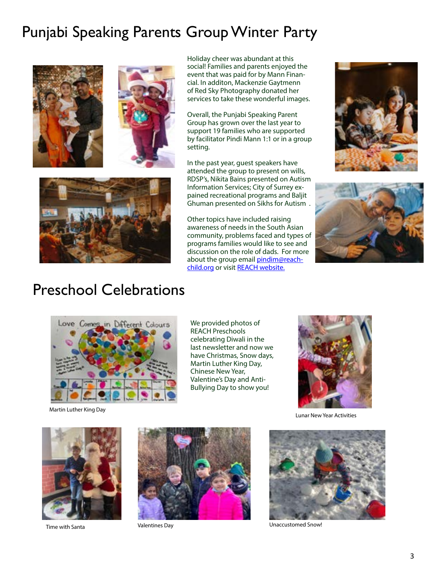## Punjabi Speaking Parents Group Winter Party







Holiday cheer was abundant at this social! Families and parents enjoyed the event that was paid for by Mann Financial. In additon, Mackenzie Gaytmenn of Red Sky Photography donated her services to take these wonderful images.

Overall, the Punjabi Speaking Parent Group has grown over the last year to support 19 families who are supported by facilitator Pindi Mann 1:1 or in a group setting.

In the past year, guest speakers have attended the group to present on wills, RDSP's, Nikita Bains presented on Autism Information Services; City of Surrey expained recreational programs and Baljit Ghuman presented on Sikhs for Autism .

Other topics have included raising awareness of needs in the South Asian community, problems faced and types of programs families would like to see and discussion on the role of dads. For more about the group email **[pindim@reach](mailto:pindim%40reachchild.org?subject=)**[child.org](mailto:pindim%40reachchild.org?subject=) or visit [REACH website.](https://www.reachchild.org/events-workshops/punjabi-parent-support-group/2022-03-31/)





### Preschool Celebrations



Martin Luther King Day

We provided photos of REACH Preschools celebrating Diwali in the last newsletter and now we have Christmas, Snow days, Martin Luther King Day, Chinese New Year, Valentine's Day and Anti-Bullying Day to show you!



Lunar New Year Activities





Time with Santa Valentines Day



Unaccustomed Snow!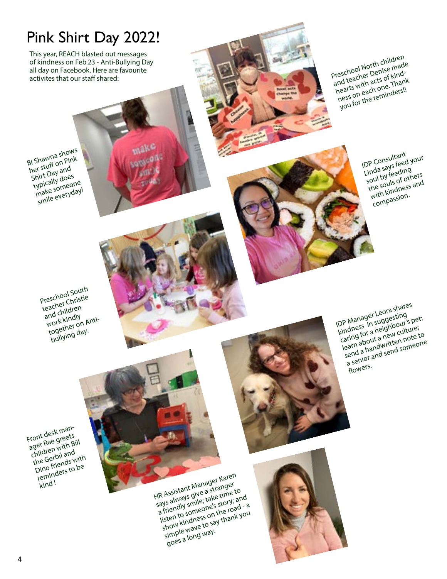# Pink Shirt Day 2022!

This year, REACH blasted out messages of kindness on Feb.23 - Anti-Bullying Day all day on Facebook. Here are favourite<br>activites that our staff shared:

Preschool North children and teacher Denise made any requirer weither must ness on each one. Thank you for the reminders!!

> IDP Consultant<br>Linda says feed your<br>Linda sufeeding IDP Consultant<br>Linda says feed y<br>soul by feeding the souls of others with kindness and compassion.

Preschool South teacher Christie<br>and children<br>and children and children and C<sub>1</sub>.<br>work kindly<br>together on Antibullying day.

BI Shawna shows her stuff on Pink Shirt Day and typically does where someone smile everyday!

> IDP Manager Leora shares Kindness in suggesting caring for a neighbour's pet; Laming ion a new culture; Isenti avout a flew Juillet to send a handwritten note to a senior and send someone flowers.

Front desk manager Rae greets children with Bill the Gerbil and une verwing with<br>Dino friends with reminders to be kind !

HR Assistant Manager Karen says always give a stranger a suality of the town of the town of the town of the town of the town of the town of the town of the town of the town of the town of the town of the town of the town of the town of the town of the town of the town of the t a literially string tone with the and show kindness on the road - a<br>show kindness on the road - a sinow nuturess on the load of a goes a long way.

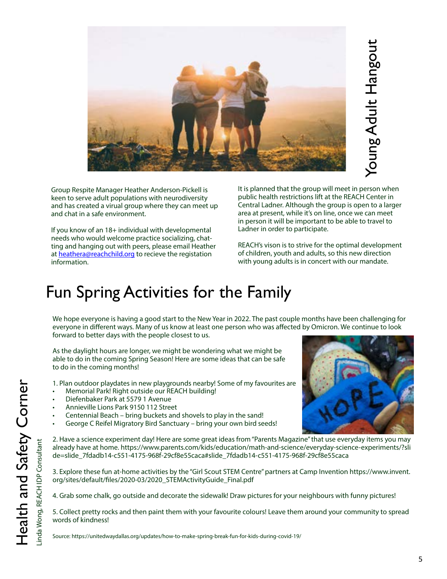

4. Grab some chalk, go outside and decorate the sidewalk! Draw pictures for your neighbours with funny pictures!

5. Collect pretty rocks and then paint them with your favourite colours! Leave them around your community to spread words of kindness!

Source: https://unitedwaydallas.org/updates/how-to-make-spring-break-fun-for-kids-during-covid-19/

Group Respite Manager Heather Anderson-Pickell is keen to serve adult populations with neurodiversity and has created a virual group where they can meet up and chat in a safe environment.

If you know of an 18+ individual with developmental needs who would welcome practice socializing, chatting and hanging out with peers, please email Heather at [heathera@reachchild.org](mailto:heathera%40reachchild.org?subject=) to recieve the registation information.

It is planned that the group will meet in person when public health restrictions lift at the REACH Center in Central Ladner. Although the group is open to a larger area at present, while it's on line, once we can meet in person it will be important to be able to travel to Ladner in order to participate.

REACH's vison is to strive for the optimal development of children, youth and adults, so this new direction with young adults is in concert with our mandate.

# Fun Spring Activities for the Family

We hope everyone is having a good start to the New Year in 2022. The past couple months have been challenging for everyone in different ways. Many of us know at least one person who was affected by Omicron. We continue to look forward to better days with the people closest to us.

As the daylight hours are longer, we might be wondering what we might be able to do in the coming Spring Season! Here are some ideas that can be safe to do in the coming months!

- 1. Plan outdoor playdates in new playgrounds nearby! Some of my favourites are
- Memorial Park! Right outside our REACH building!
- Diefenbaker Park at 5579 1 Avenue
- Annieville Lions Park 9150 112 Street
- Centennial Beach bring buckets and shovels to play in the sand!
- George C Reifel Migratory Bird Sanctuary bring your own bird seeds!

2. Have a science experiment day! Here are some great ideas from "Parents Magazine" that use everyday items you may already have at home. https://www.parents.com/kids/education/math-and-science/everyday-science-experiments/?sli de=slide\_7fdadb14-c551-4175-968f-29cf8e55caca#slide\_7fdadb14-c551-4175-968f-29cf8e55caca





Young Adult Hangout Young Adult Hangout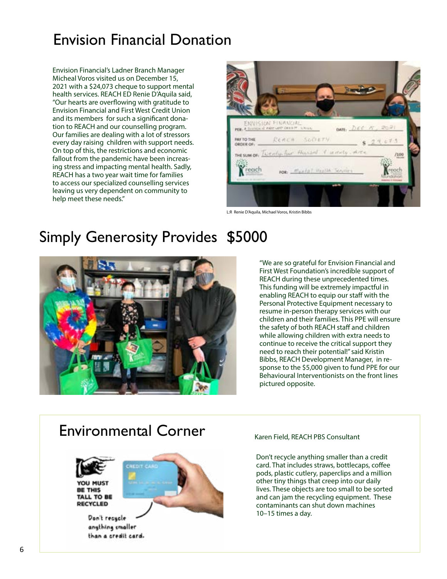### Envision Financial Donation

Envision Financial's Ladner Branch Manager Micheal Voros visited us on December 15, 2021 with a \$24,073 cheque to support mental health services. REACH ED Renie D'Aquila said, "Our hearts are overflowing with gratitude to Envision Financial and First West Credit Union and its members for such a significant donation to REACH and our counselling program. Our families are dealing with a lot of stressors every day raising children with support needs. On top of this, the restrictions and economic fallout from the pandemic have been increasing stress and impacting mental health. Sadly, REACH has a two year wait time for families to access our specialized counselling services leaving us very dependent on community to help meet these needs."



L:R Renie D'Aquila, Michael Voros, Kristin Bibbs

# Simply Generosity Provides \$5000



"We are so grateful for Envision Financial and First West Foundation's incredible support of REACH during these unprecedented times. This funding will be extremely impactful in enabling REACH to equip our staff with the Personal Protective Equipment necessary to resume in-person therapy services with our children and their families. This PPE will ensure the safety of both REACH staff and children while allowing children with extra needs to continue to receive the critical support they need to reach their potential!" said Kristin Bibbs, REACH Development Manager, in response to the \$5,000 given to fund PPE for our Behavioural Interventionists on the front lines pictured opposite.

#### Environmental Corner



Don't recycle angthing smaller than a credit card. Karen Field, REACH PBS Consultant

Don't recycle anything smaller than a credit card. That includes straws, bottlecaps, coffee pods, plastic cutlery, paperclips and a million other tiny things that creep into our daily lives. These objects are too small to be sorted and can jam the recycling equipment. These contaminants can shut down machines 10–15 times a day.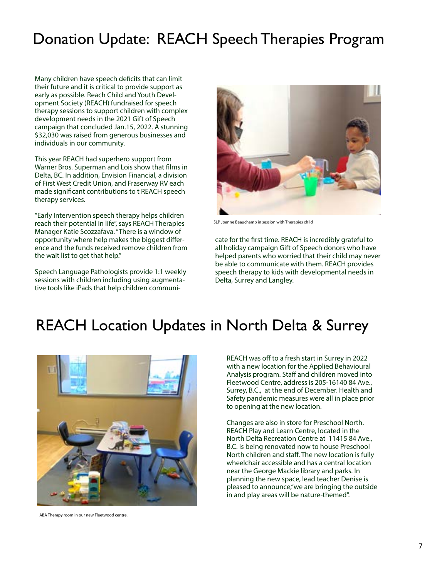## Donation Update: REACH Speech Therapies Program

Many children have speech deficits that can limit their future and it is critical to provide support as early as possible. Reach Child and Youth Development Society (REACH) fundraised for speech therapy sessions to support children with complex development needs in the 2021 Gift of Speech campaign that concluded Jan.15, 2022. A stunning \$32,030 was raised from generous businesses and individuals in our community.

This year REACH had superhero support from Warner Bros. Superman and Lois show that films in Delta, BC. In addition, Envision Financial, a division of First West Credit Union, and Fraserway RV each made significant contributions to t REACH speech therapy services.

"Early Intervention speech therapy helps children reach their potential in life", says REACH Therapies Manager Katie Scozzafava. "There is a window of opportunity where help makes the biggest difference and the funds received remove children from the wait list to get that help."

Speech Language Pathologists provide 1:1 weekly sessions with children including using augmentative tools like iPads that help children communi-



SLP Joanne Beauchamp in session with Therapies child

cate for the first time. REACH is incredibly grateful to all holiday campaign Gift of Speech donors who have helped parents who worried that their child may never be able to communicate with them. REACH provides speech therapy to kids with developmental needs in Delta, Surrey and Langley.

### REACH Location Updates in North Delta & Surrey



ABA Therapy room in our new Fleetwood centre.

REACH was off to a fresh start in Surrey in 2022 with a new location for the Applied Behavioural Analysis program. Staff and children moved into Fleetwood Centre, address is 205-16140 84 Ave., Surrey, B.C., at the end of December. Health and Safety pandemic measures were all in place prior to opening at the new location.

Changes are also in store for Preschool North. REACH Play and Learn Centre, located in the North Delta Recreation Centre at 11415 84 Ave., B.C. is being renovated now to house Preschool North children and staff. The new location is fully wheelchair accessible and has a central location near the George Mackie library and parks. In planning the new space, lead teacher Denise is pleased to announce,"we are bringing the outside in and play areas will be nature-themed".